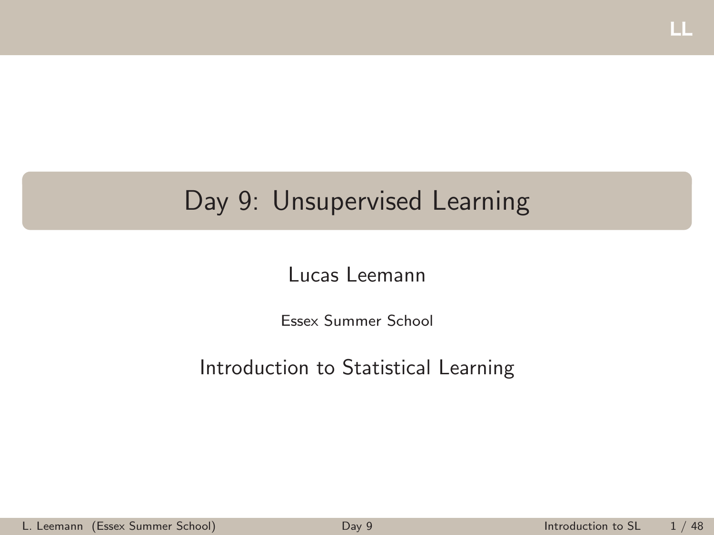# <span id="page-0-0"></span>Day 9: Unsupervised Learning

#### Lucas Leemann

Essex Summer School

#### Introduction to Statistical Learning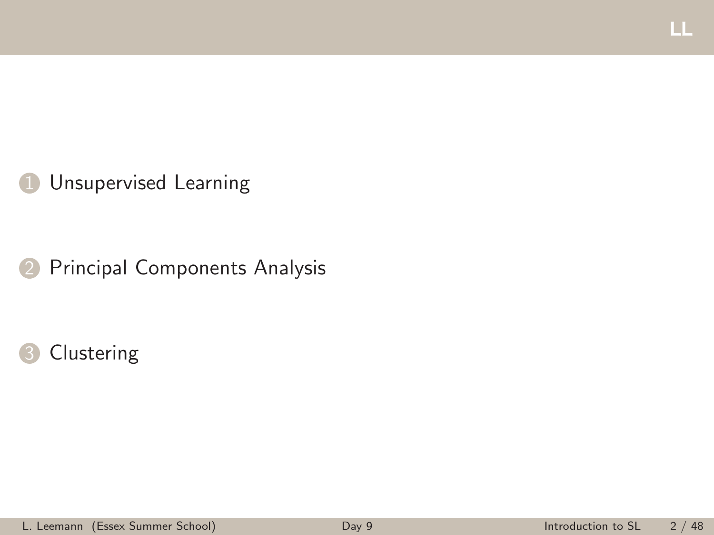### **1** [Unsupervised Learning](#page-2-0)

2 [Principal Components Analysis](#page-6-0)

#### [Clustering](#page-22-0)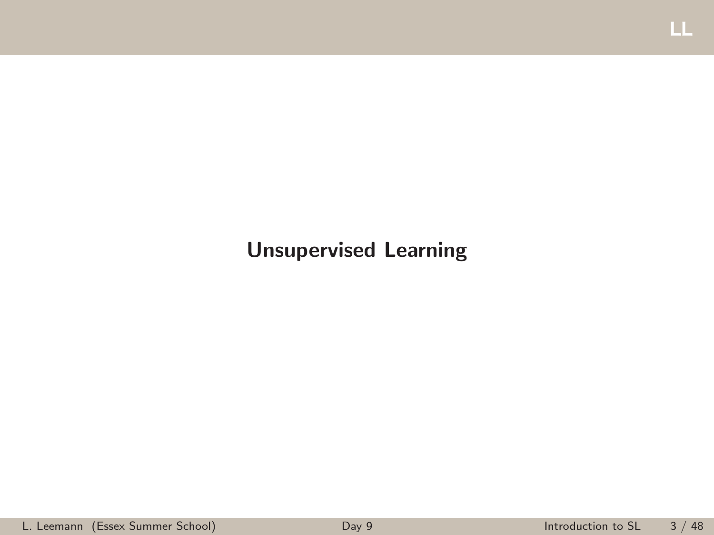#### <span id="page-2-0"></span>Unsupervised Learning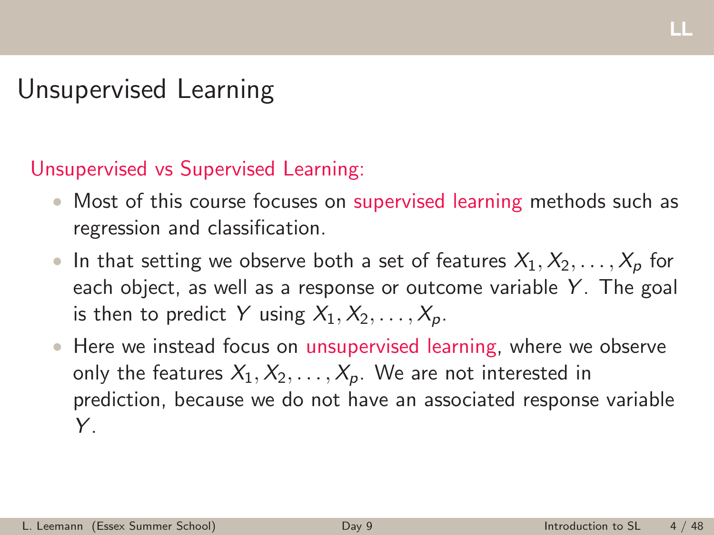# Unsupervised Learning

#### Unsupervised vs Supervised Learning:

- Most of this course focuses on supervised learning methods such as regression and classification.
- In that setting we observe both a set of features  $X_1, X_2, \ldots, X_p$  for each object, as well as a response or outcome variable *Y* . The goal is then to predict Y using  $X_1, X_2, \ldots, X_p$ .
- Here we instead focus on unsupervised learning, where we observe only the features  $X_1, X_2, \ldots, X_p$ . We are not interested in prediction, because we do not have an associated response variable *Y* .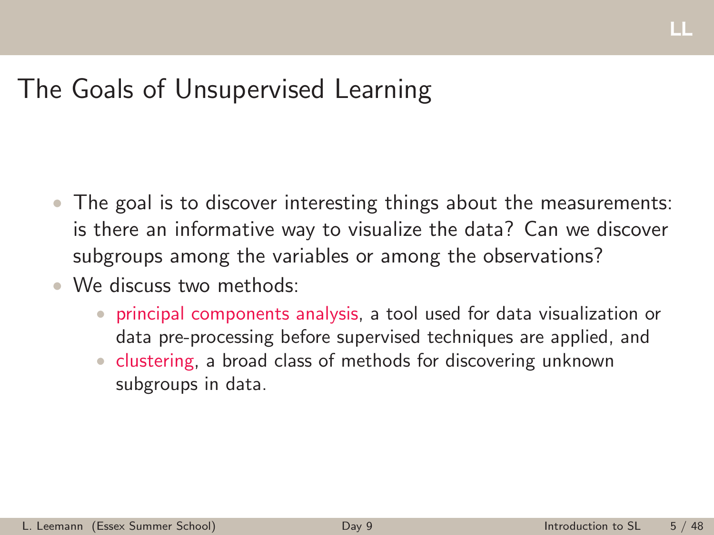# The Goals of Unsupervised Learning

- The goal is to discover interesting things about the measurements: is there an informative way to visualize the data? Can we discover subgroups among the variables or among the observations?
- We discuss two methods:
	- principal components analysis, a tool used for data visualization or data pre-processing before supervised techniques are applied, and
	- clustering, a broad class of methods for discovering unknown subgroups in data.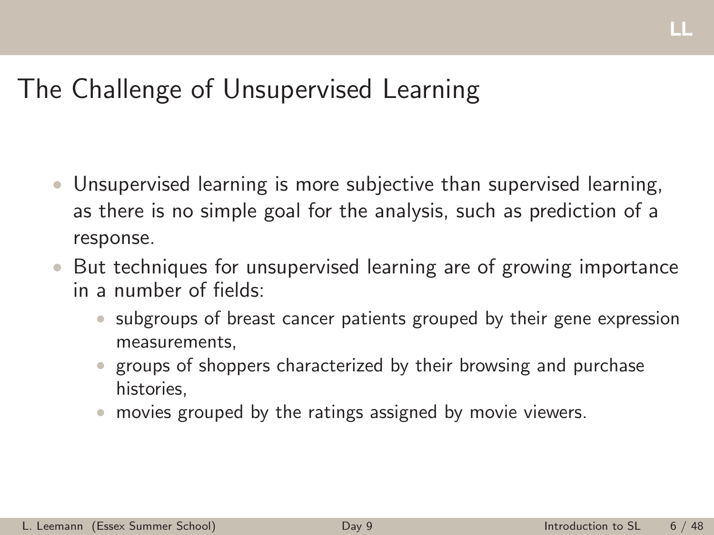# The Challenge of Unsupervised Learning

- Unsupervised learning is more subjective than supervised learning, as there is no simple goal for the analysis, such as prediction of a response.
- But techniques for unsupervised learning are of growing importance in a number of fields:
	- subgroups of breast cancer patients grouped by their gene expression measurements,
	- groups of shoppers characterized by their browsing and purchase histories,
	- movies grouped by the ratings assigned by movie viewers.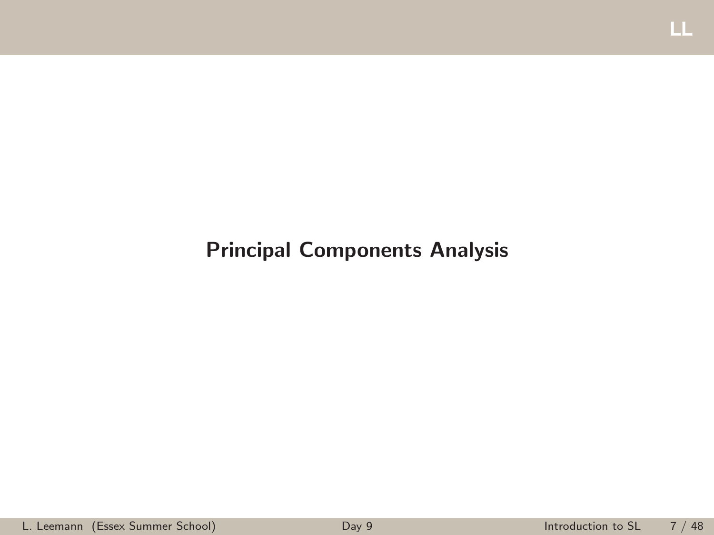#### <span id="page-6-0"></span>Principal Components Analysis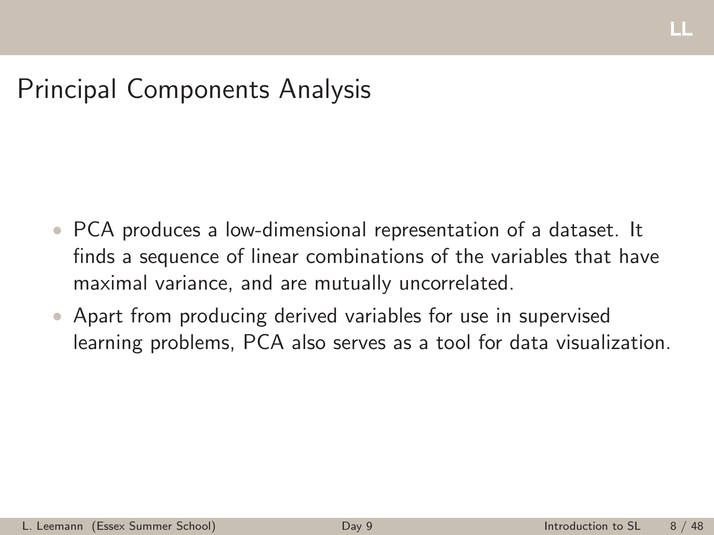# Principal Components Analysis

- PCA produces a low-dimensional representation of a dataset. It finds a sequence of linear combinations of the variables that have maximal variance, and are mutually uncorrelated.
- Apart from producing derived variables for use in supervised learning problems, PCA also serves as a tool for data visualization.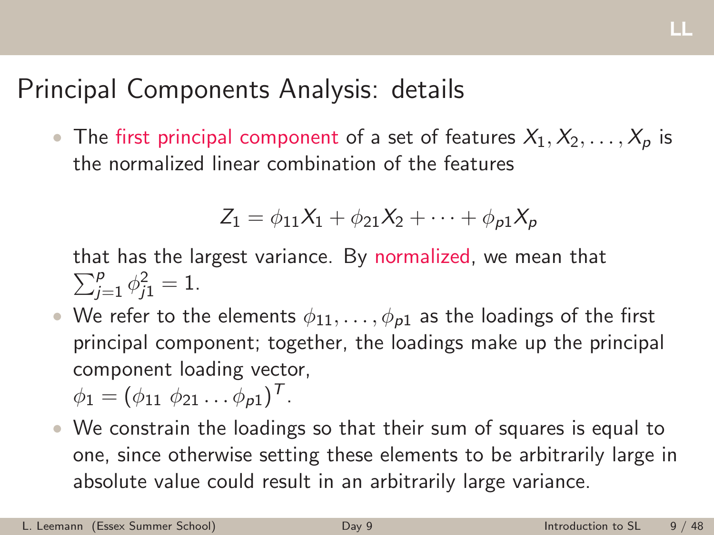# Principal Components Analysis: details

• The first principal component of a set of features  $X_1, X_2, \ldots, X_p$  is the normalized linear combination of the features

$$
Z_1 = \phi_{11}X_1 + \phi_{21}X_2 + \cdots + \phi_{p1}X_p
$$

that has the largest variance. By normalized, we mean that  $\sum_{j=1}^{p} \phi_{j1}^{2} = 1.$ 

• We refer to the elements  $\phi_{11}, \ldots, \phi_{p1}$  as the loadings of the first principal component; together, the loadings make up the principal component loading vector,

$$
\phi_1=(\phi_{11}\ \phi_{21}\ldots\phi_{p1})^T.
$$

• We constrain the loadings so that their sum of squares is equal to one, since otherwise setting these elements to be arbitrarily large in absolute value could result in an arbitrarily large variance.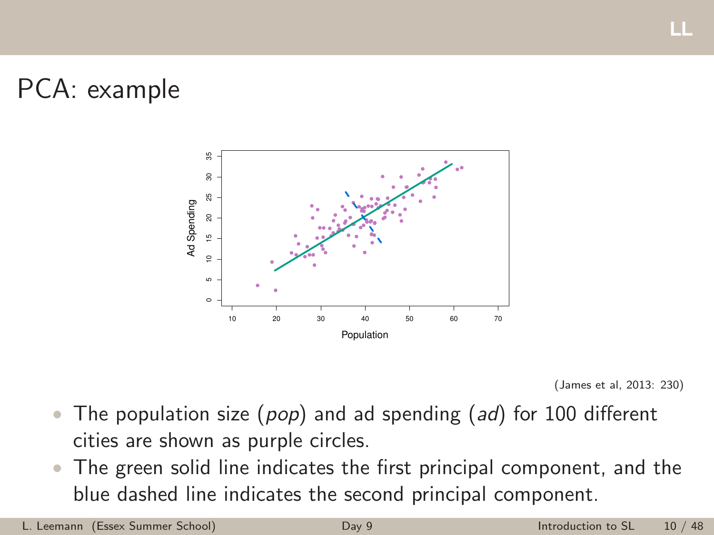# PCA: example





- The population size (*pop*) and ad spending (*ad*) for 100 different cities are shown as purple circles.
- The green solid line indicates the first principal component, and the blue dashed line indicates the second principal component.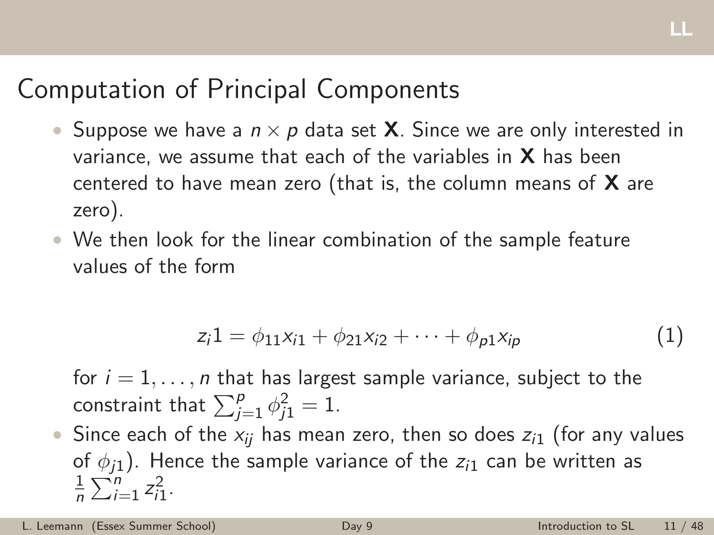# Computation of Principal Components

- Suppose we have a  $n \times p$  data set **X**. Since we are only interested in variance, we assume that each of the variables in  $X$  has been centered to have mean zero (that is, the column means of  $X$  are zero).
- We then look for the linear combination of the sample feature values of the form

$$
z_i 1 = \phi_{11} x_{i1} + \phi_{21} x_{i2} + \cdots + \phi_{p1} x_{ip}
$$
 (1)

for  $i = 1, \ldots, n$  that has largest sample variance, subject to the constraint that  $\sum_{j=1}^{p} \phi_{j1}^{2} = 1$ .

• Since each of the  $x_{ii}$  has mean zero, then so does  $z_{i1}$  (for any values of  $\phi_{i1}$ ). Hence the sample variance of the  $z_{i1}$  can be written as 1  $\frac{1}{n}\sum_{i=1}^{n} z_{i1}^{2}$ .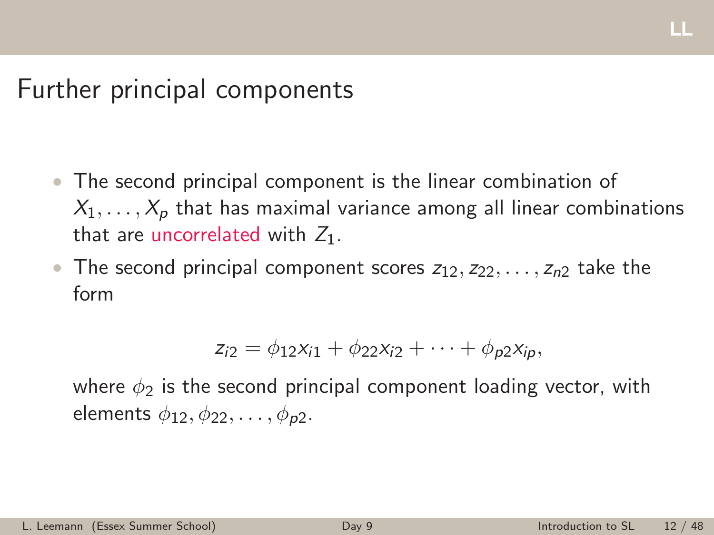## Further principal components

- The second principal component is the linear combination of  $X_1, \ldots, X_p$  that has maximal variance among all linear combinations that are uncorrelated with *Z*1.
- The second principal component scores  $z_1$ <sub>2</sub>,  $z_2$ <sub>2</sub>, ...,  $z_n$ <sub>2</sub> take the form

$$
z_{i2} = \phi_{12}x_{i1} + \phi_{22}x_{i2} + \cdots + \phi_{p2}x_{ip},
$$

where  $\phi_2$  is the second principal component loading vector, with elements  $\phi_1$ <sub>2</sub>,  $\phi_2$ <sub>2</sub>, ...,  $\phi_p$ <sub>2</sub>.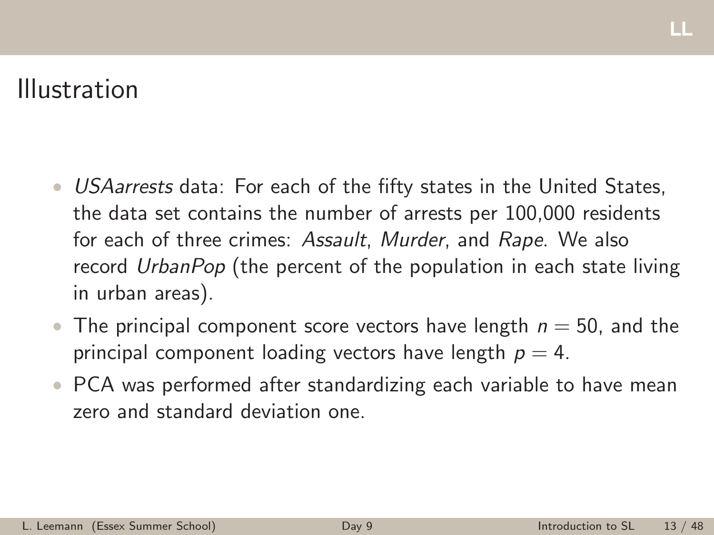## Illustration

- *USAarrests* data: For each of the fifty states in the United States, the data set contains the number of arrests per 100,000 residents for each of three crimes: *Assault*, *Murder*, and *Rape*. We also record *UrbanPop* (the percent of the population in each state living in urban areas).
- The principal component score vectors have length  $n = 50$ , and the principal component loading vectors have length  $p = 4$ .
- PCA was performed after standardizing each variable to have mean zero and standard deviation one.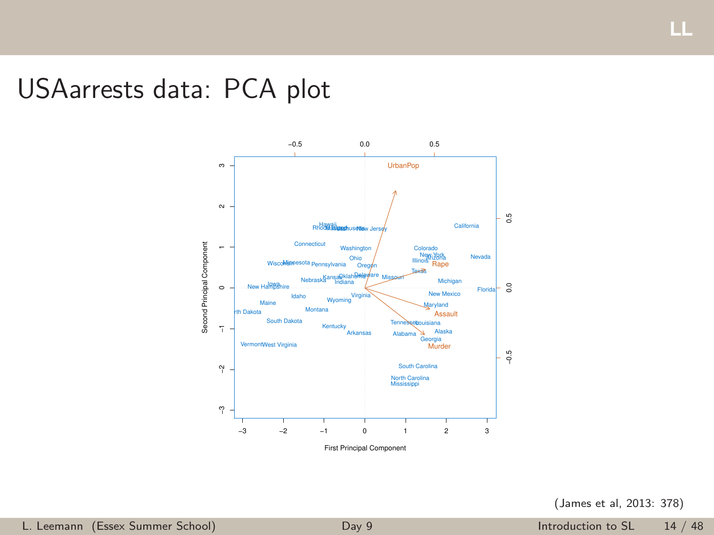## USAarrests data: PCA plot



First Principal Component

(James et al, 2013: 378)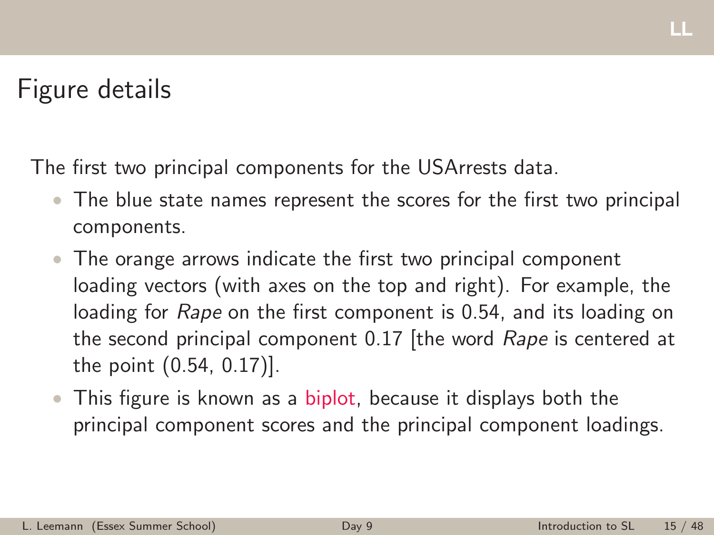# Figure details

The first two principal components for the USArrests data.

- The blue state names represent the scores for the first two principal components.
- The orange arrows indicate the first two principal component loading vectors (with axes on the top and right). For example, the loading for *Rape* on the first component is 0.54, and its loading on the second principal component 0.17 [the word *Rape* is centered at the point (0.54, 0.17)].
- This figure is known as a biplot, because it displays both the principal component scores and the principal component loadings.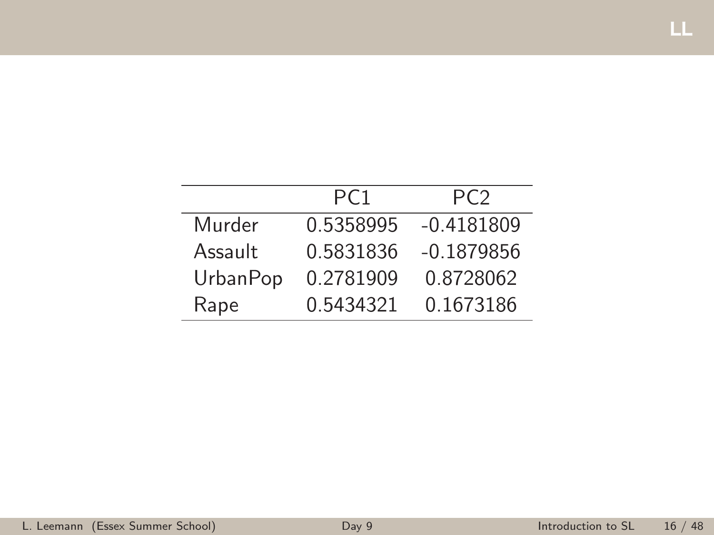|          | PC <sub>1</sub> | PC <sub>2</sub> |
|----------|-----------------|-----------------|
| Murder   | 0.5358995       | $-0.4181809$    |
| Assault  | 0.5831836       | $-0.1879856$    |
| UrbanPop | 0.2781909       | 0.8728062       |
| Rape     | 0.5434321       | 0.1673186       |

LL-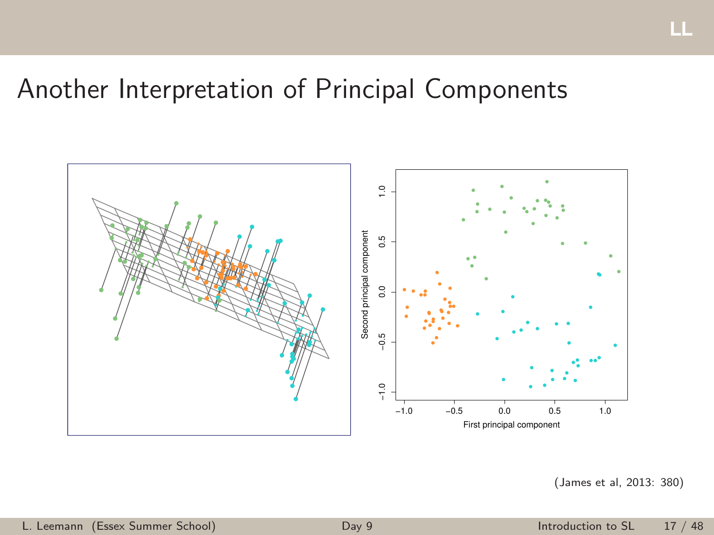# Another Interpretation of Principal Components



(James et al, 2013: 380)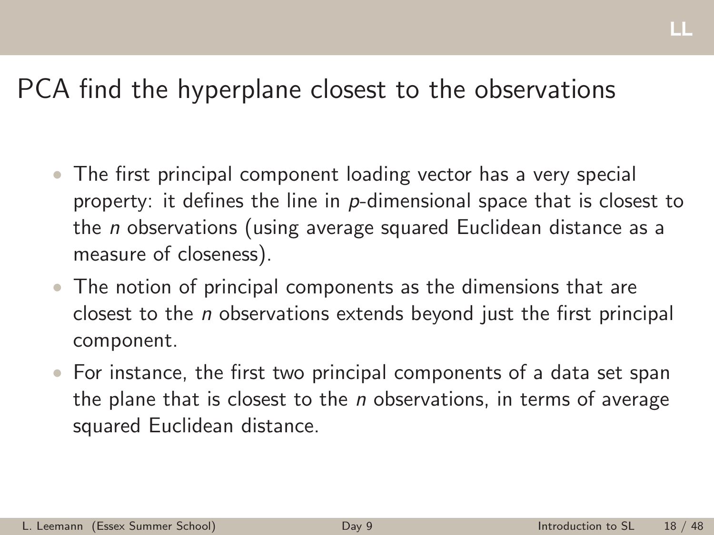## PCA find the hyperplane closest to the observations

- The first principal component loading vector has a very special property: it defines the line in *p*-dimensional space that is closest to the *n* observations (using average squared Euclidean distance as a measure of closeness).
- The notion of principal components as the dimensions that are closest to the *n* observations extends beyond just the first principal component.
- For instance, the first two principal components of a data set span the plane that is closest to the *n* observations, in terms of average squared Euclidean distance.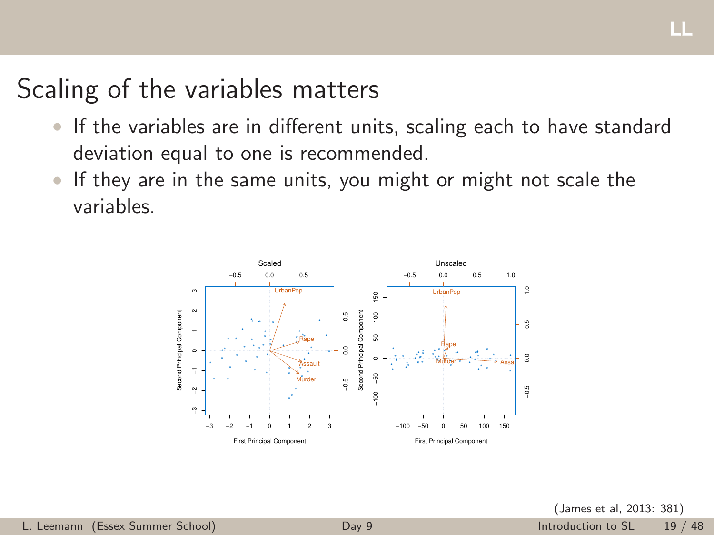# Scaling of the variables matters

- If the variables are in different units, scaling each to have standard deviation equal to one is recommended.
- If they are in the same units, you might or might not scale the variables.

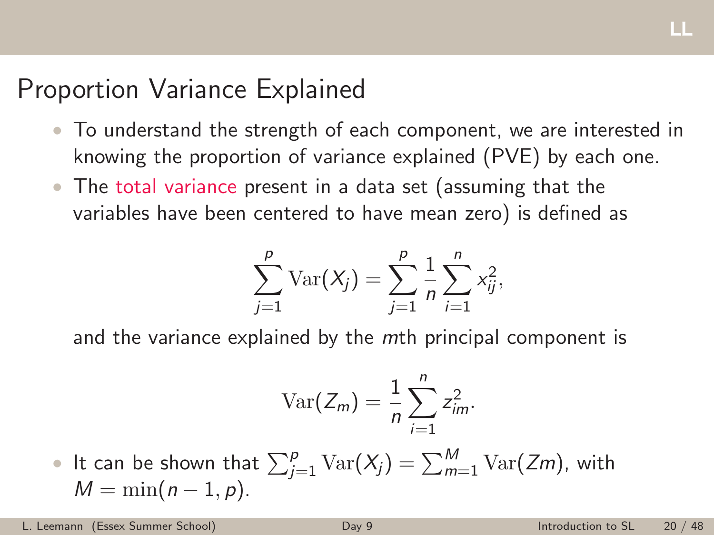# Proportion Variance Explained

- To understand the strength of each component, we are interested in knowing the proportion of variance explained (PVE) by each one.
- The total variance present in a data set (assuming that the variables have been centered to have mean zero) is defined as

$$
\sum_{j=1}^{p} \text{Var}(X_j) = \sum_{j=1}^{p} \frac{1}{n} \sum_{i=1}^{n} x_{ij}^{2},
$$

and the variance explained by the *m*th principal component is

$$
\text{Var}(Z_m) = \frac{1}{n} \sum_{i=1}^n z_{im}^2.
$$

 $\bullet$  It can be shown that  $\sum_{j=1}^p \mathrm{Var}(X_j) = \sum_{m=1}^M \mathrm{Var}(Zm)$ , with  $M = \min(n - 1, p)$ .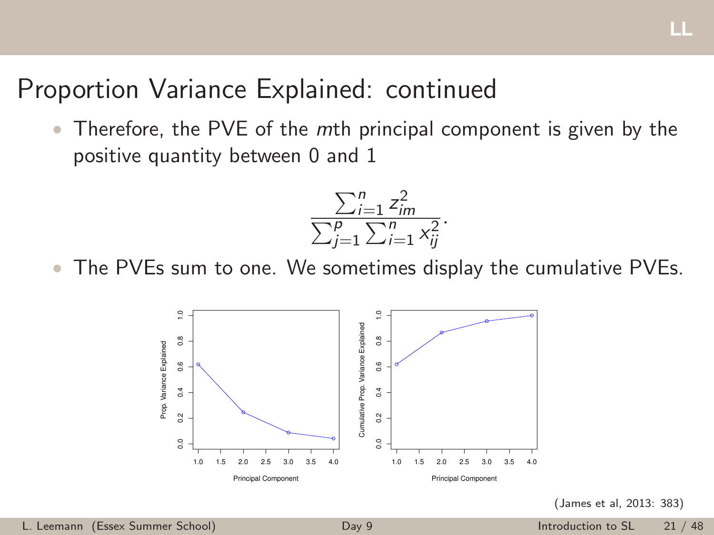## Proportion Variance Explained: continued

• Therefore, the PVE of the *m*th principal component is given by the positive quantity between 0 and 1

$$
\frac{\sum_{i=1}^{n} z_{im}^{2}}{\sum_{j=1}^{p} \sum_{i=1}^{n} x_{ij}^{2}}.
$$

The PVEs sum to one. We sometimes display the cumulative PVEs.



(James et al, 2013: 383)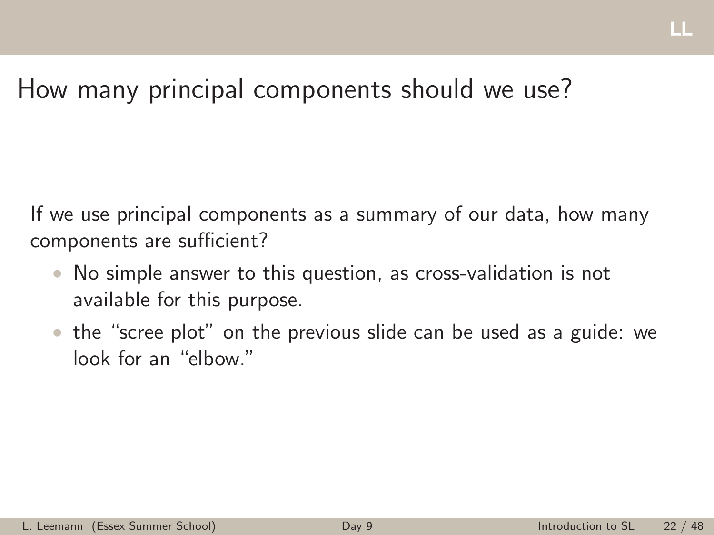# How many principal components should we use?

If we use principal components as a summary of our data, how many components are sufficient?

- No simple answer to this question, as cross-validation is not available for this purpose.
- the "scree plot" on the previous slide can be used as a guide: we look for an "elbow."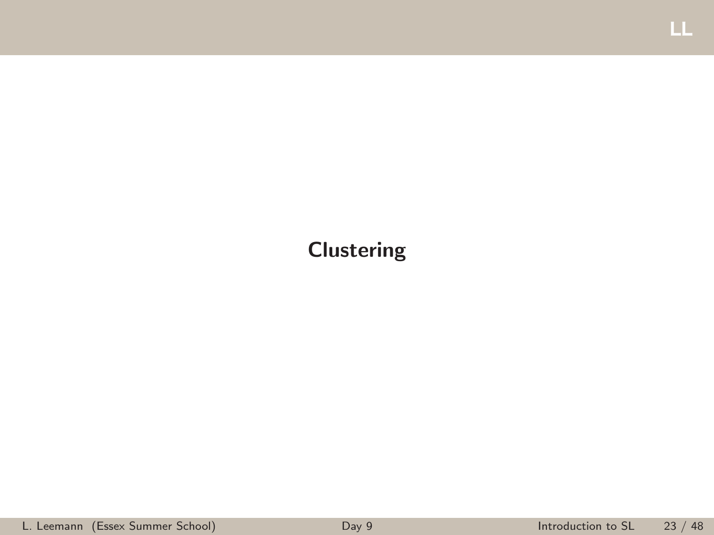### <span id="page-22-0"></span>Clustering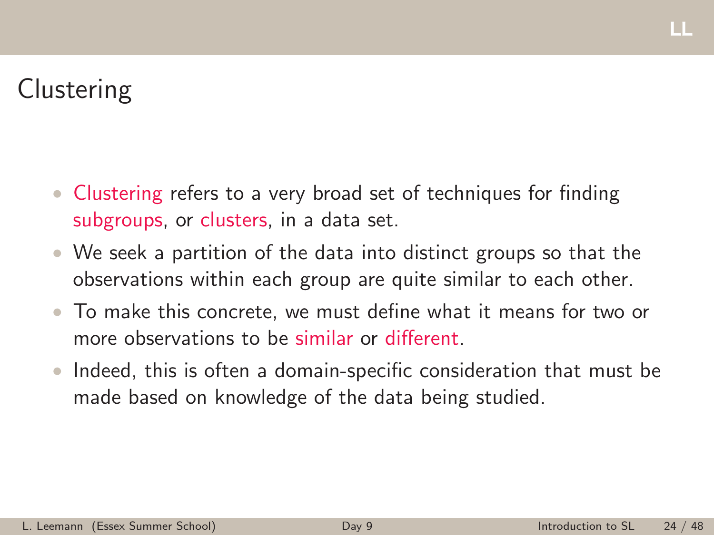# **Clustering**

- Clustering refers to a very broad set of techniques for finding subgroups, or clusters, in a data set.
- We seek a partition of the data into distinct groups so that the observations within each group are quite similar to each other.
- To make this concrete, we must define what it means for two or more observations to be similar or different.
- Indeed, this is often a domain-specific consideration that must be made based on knowledge of the data being studied.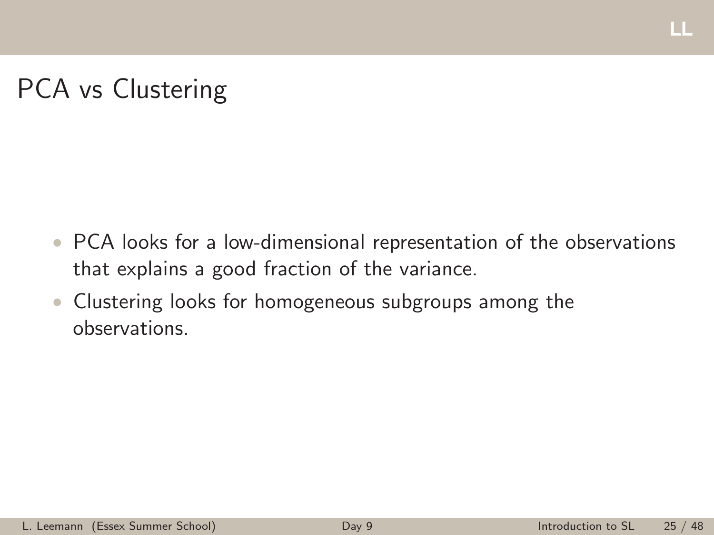#### щ

# PCA vs Clustering

- PCA looks for a low-dimensional representation of the observations that explains a good fraction of the variance.
- Clustering looks for homogeneous subgroups among the observations.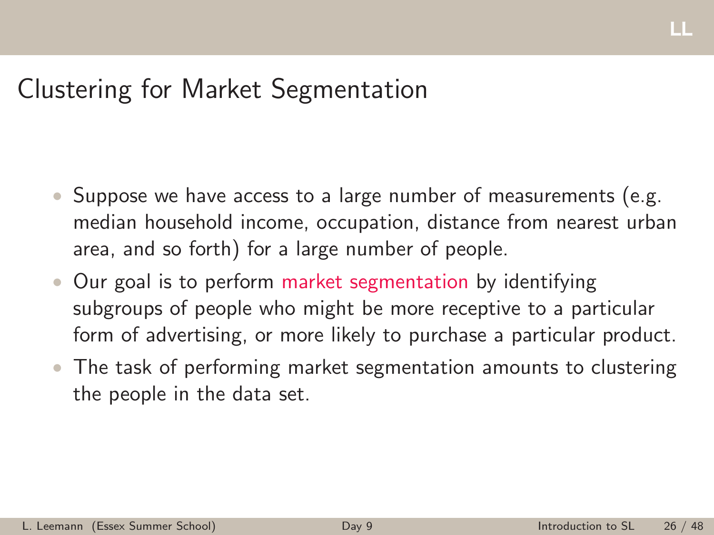## Clustering for Market Segmentation

- Suppose we have access to a large number of measurements (e.g. median household income, occupation, distance from nearest urban area, and so forth) for a large number of people.
- Our goal is to perform market segmentation by identifying subgroups of people who might be more receptive to a particular form of advertising, or more likely to purchase a particular product.
- The task of performing market segmentation amounts to clustering the people in the data set.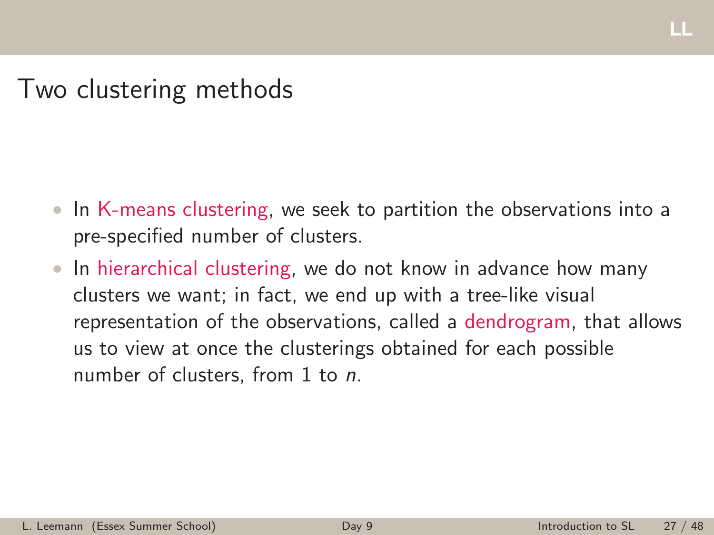Two clustering methods

- In K-means clustering, we seek to partition the observations into a pre-specified number of clusters.
- In hierarchical clustering, we do not know in advance how many clusters we want; in fact, we end up with a tree-like visual representation of the observations, called a dendrogram, that allows us to view at once the clusterings obtained for each possible number of clusters, from 1 to *n*.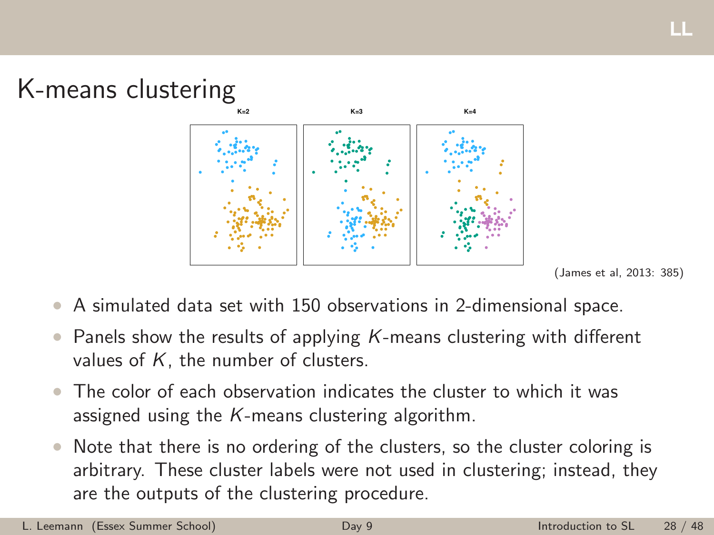

(James et al, 2013: 385)

- A simulated data set with 150 observations in 2-dimensional space.
- Panels show the results of applying *K*-means clustering with different values of *K*, the number of clusters.
- The color of each observation indicates the cluster to which it was assigned using the *K*-means clustering algorithm.
- Note that there is no ordering of the clusters, so the cluster coloring is arbitrary. These cluster labels were not used in clustering; instead, they are the outputs of the clustering procedure.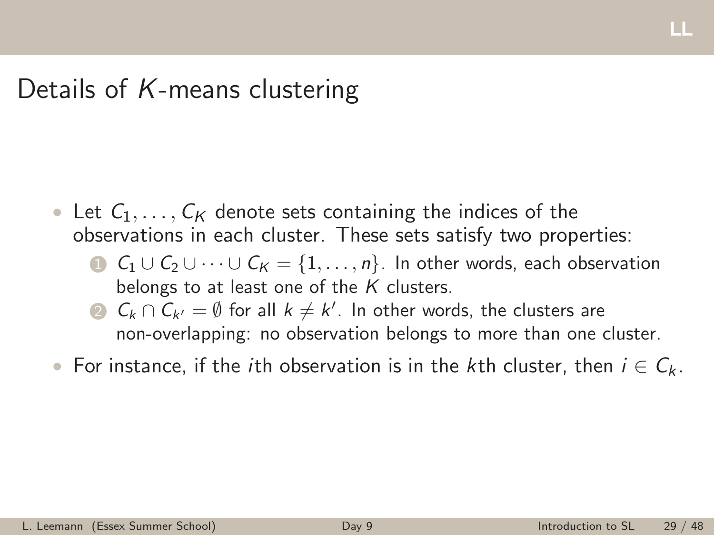## Details of *K*-means clustering

- Let  $C_1, \ldots, C_K$  denote sets containing the indices of the observations in each cluster. These sets satisfy two properties:
	- $C_1 \cup C_2 \cup \cdots \cup C_K = \{1, \ldots, n\}$ . In other words, each observation belongs to at least one of the *K* clusters.
	- 2  $C_k \cap C_{k'} = \emptyset$  for all  $k \neq k'$ . In other words, the clusters are non-overlapping: no observation belongs to more than one cluster.
- For instance, if the *i*th observation is in the *k*th cluster, then  $i \in C_k$ .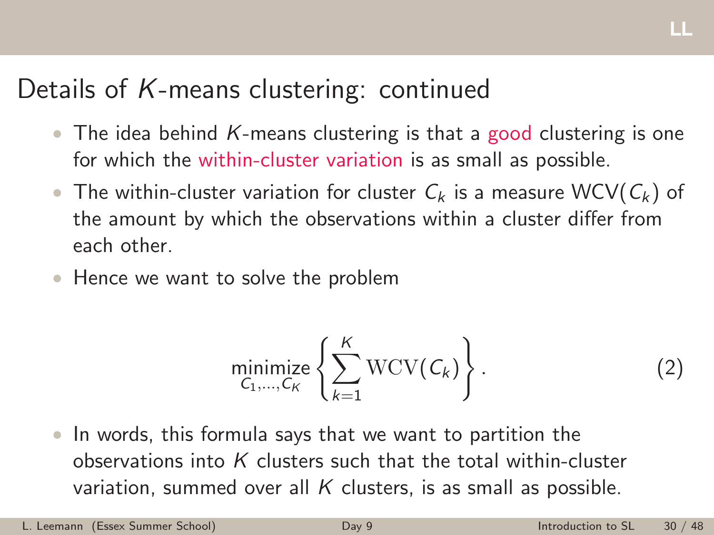# Details of *K*-means clustering: continued

- The idea behind *K*-means clustering is that a good clustering is one for which the within-cluster variation is as small as possible.
- The within-cluster variation for cluster *C<sup>k</sup>* is a measure WCV(*C<sup>k</sup>* ) of the amount by which the observations within a cluster differ from each other.
- Hence we want to solve the problem

$$
\underset{C_1,\ldots,C_K}{\text{minimize}} \left\{ \sum_{k=1}^K \text{WCV}(C_k) \right\}.
$$
 (2)

• In words, this formula says that we want to partition the observations into *K* clusters such that the total within-cluster variation, summed over all *K* clusters, is as small as possible.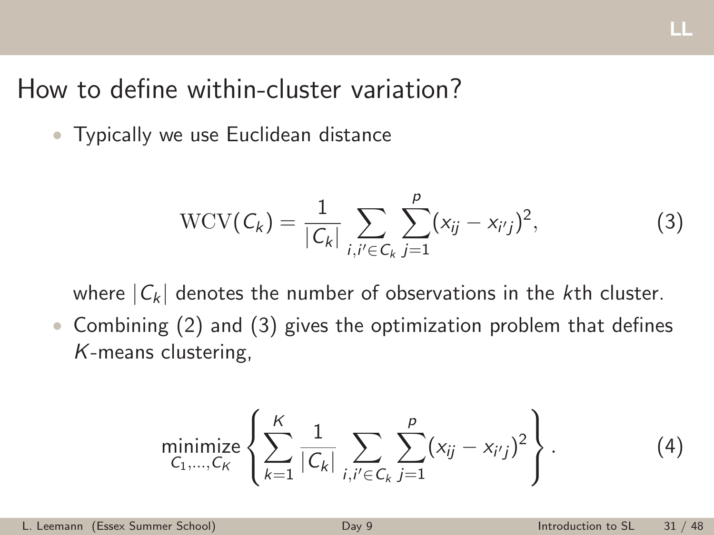## How to define within-cluster variation?

• Typically we use Euclidean distance

$$
WCV(C_k) = \frac{1}{|C_k|} \sum_{i,i' \in C_k} \sum_{j=1}^p (x_{ij} - x_{i'j})^2,
$$
 (3)

where  $|C_k|$  denotes the number of observations in the *k*th cluster.

• Combining (2) and (3) gives the optimization problem that defines *K*-means clustering,

minimize 
$$
\left\{ \sum_{k=1}^{K} \frac{1}{|C_k|} \sum_{i,i' \in C_k} \sum_{j=1}^{p} (x_{ij} - x_{i'j})^2 \right\}
$$
. (4)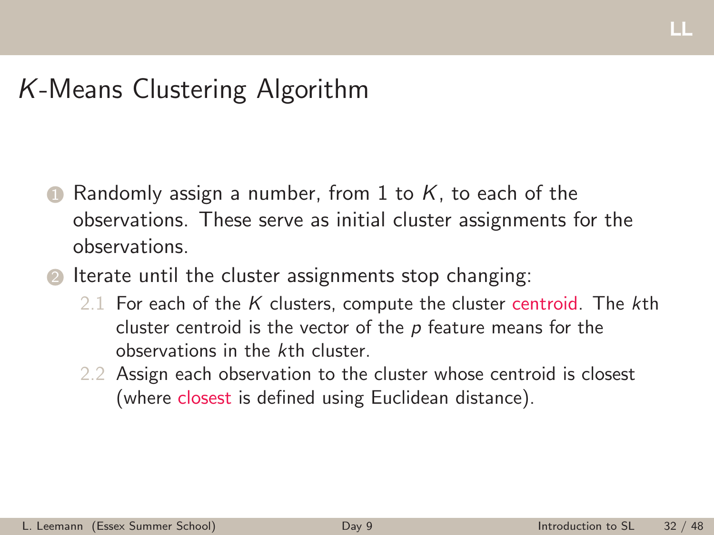# *K*-Means Clustering Algorithm

- 1 Randomly assign a number, from 1 to K, to each of the observations. These serve as initial cluster assignments for the observations.
- **2** Iterate until the cluster assignments stop changing:
	- 2.1 For each of the *K* clusters, compute the cluster centroid. The *k*th cluster centroid is the vector of the *p* feature means for the observations in the *k*th cluster.
	- 2.2 Assign each observation to the cluster whose centroid is closest (where closest is defined using Euclidean distance).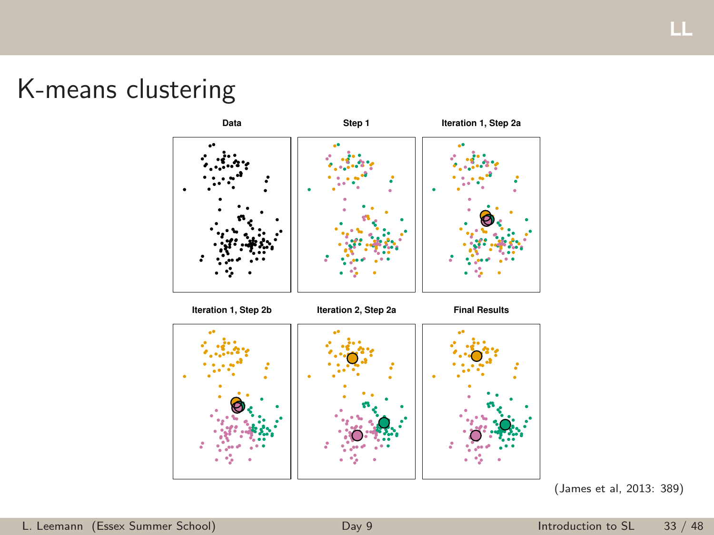K-means clustering



(James et al, 2013: 389)

Ш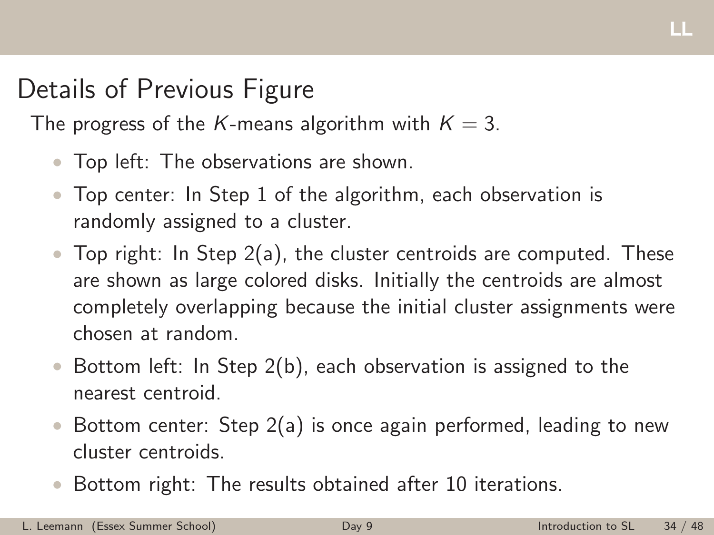# Details of Previous Figure

The progress of the *K*-means algorithm with  $K = 3$ .

- Top left: The observations are shown.
- Top center: In Step 1 of the algorithm, each observation is randomly assigned to a cluster.
- Top right: In Step 2(a), the cluster centroids are computed. These are shown as large colored disks. Initially the centroids are almost completely overlapping because the initial cluster assignments were chosen at random.
- Bottom left: In Step 2(b), each observation is assigned to the nearest centroid.
- Bottom center: Step 2(a) is once again performed, leading to new cluster centroids.
- Bottom right: The results obtained after 10 iterations.

ш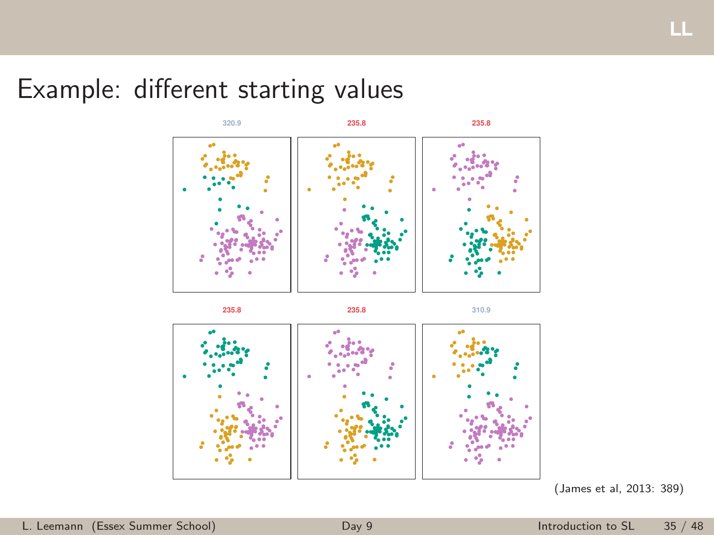# Example: different starting values





(James et al, 2013: 389)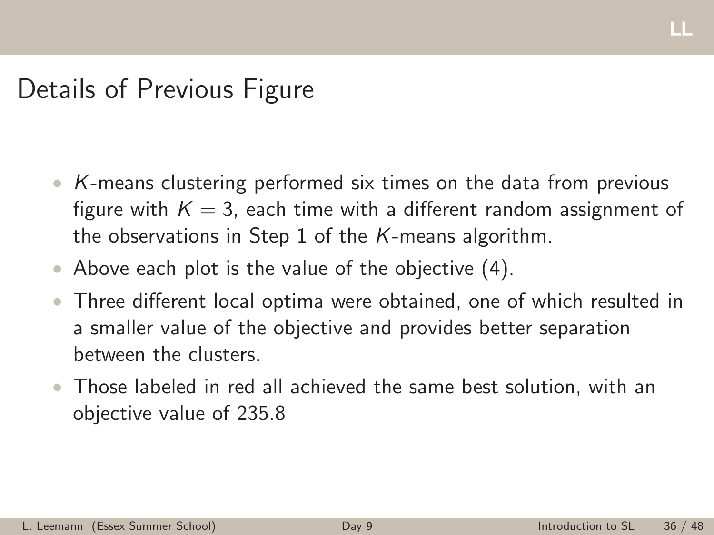# Details of Previous Figure

- *K*-means clustering performed six times on the data from previous figure with  $K = 3$ , each time with a different random assignment of the observations in Step 1 of the *K*-means algorithm.
- Above each plot is the value of the objective (4).
- Three different local optima were obtained, one of which resulted in a smaller value of the objective and provides better separation between the clusters.
- Those labeled in red all achieved the same best solution, with an objective value of 235.8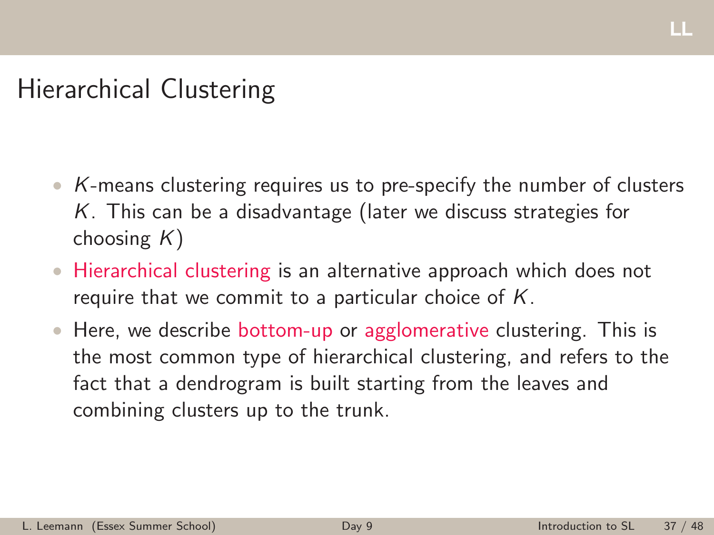# Hierarchical Clustering

- *K*-means clustering requires us to pre-specify the number of clusters *K*. This can be a disadvantage (later we discuss strategies for choosing *K*)
- Hierarchical clustering is an alternative approach which does not require that we commit to a particular choice of *K*.
- Here, we describe bottom-up or agglomerative clustering. This is the most common type of hierarchical clustering, and refers to the fact that a dendrogram is built starting from the leaves and combining clusters up to the trunk.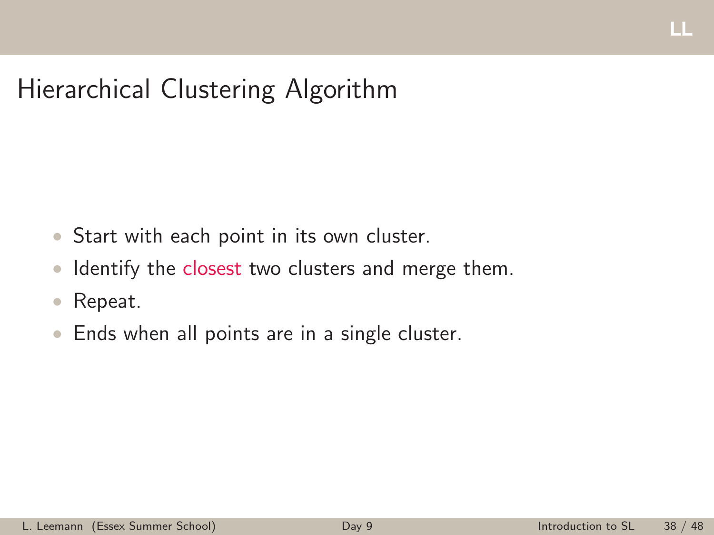# Hierarchical Clustering Algorithm

- Start with each point in its own cluster.
- Identify the closest two clusters and merge them.
- Repeat.
- Ends when all points are in a single cluster.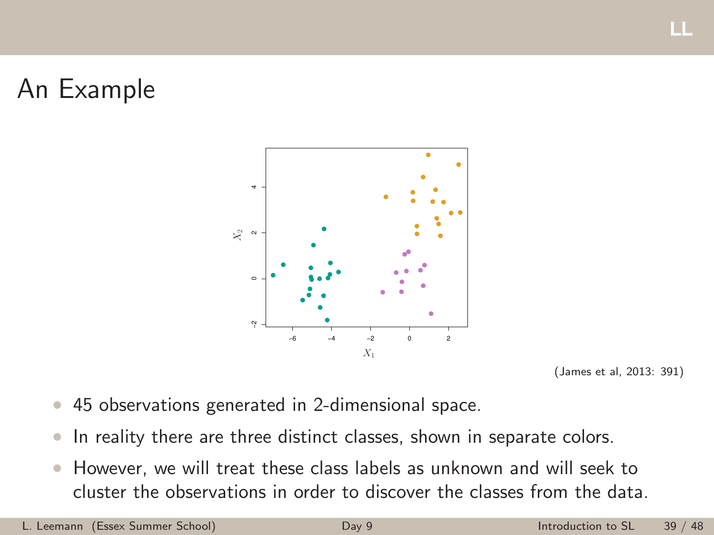# An Example



(James et al, 2013: 391)

щ

- 45 observations generated in 2-dimensional space.
- In reality there are three distinct classes, shown in separate colors.
- However, we will treat these class labels as unknown and will seek to cluster the observations in order to discover the classes from the data.

L. Leemann (Essex Summer School) [Day 9](#page-0-0) Introduction to SL 39 / 48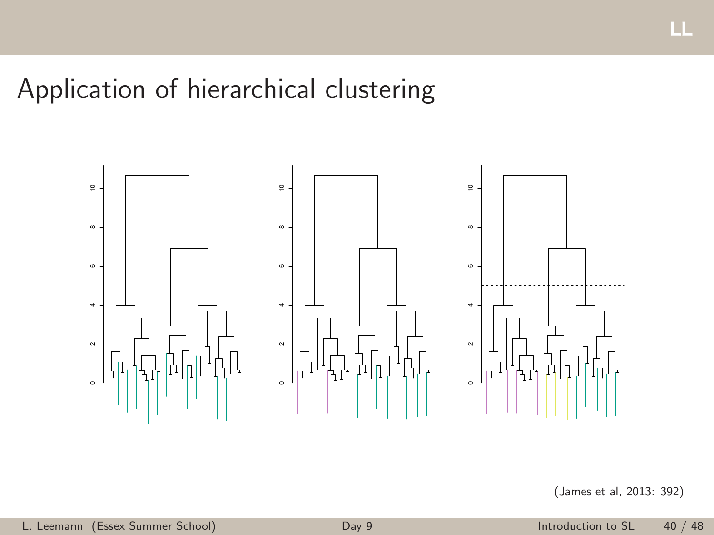# Application of hierarchical clustering



(James et al, 2013: 392)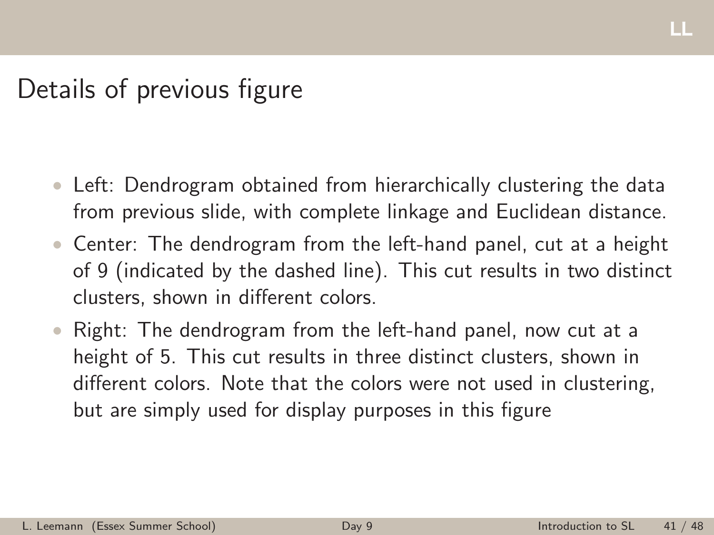Details of previous figure

- Left: Dendrogram obtained from hierarchically clustering the data from previous slide, with complete linkage and Euclidean distance.
- Center: The dendrogram from the left-hand panel, cut at a height of 9 (indicated by the dashed line). This cut results in two distinct clusters, shown in different colors.
- Right: The dendrogram from the left-hand panel, now cut at a height of 5. This cut results in three distinct clusters, shown in different colors. Note that the colors were not used in clustering, but are simply used for display purposes in this figure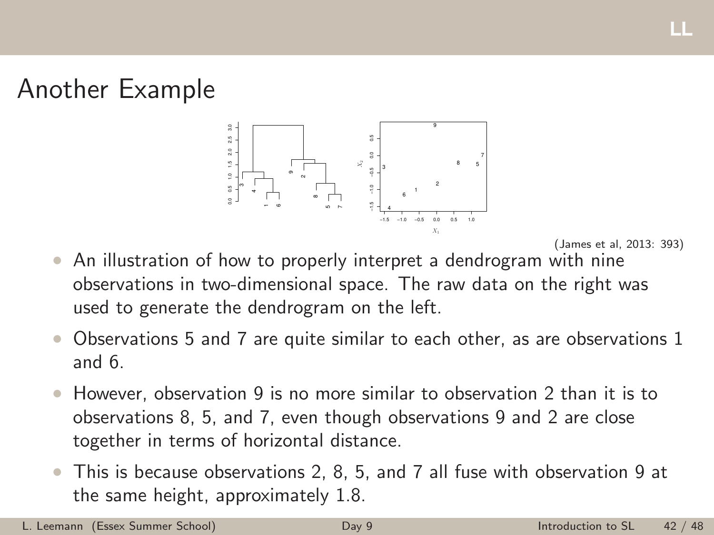# Another Example



щ

- An illustration of how to properly interpret a dendrogram with nine observations in two-dimensional space. The raw data on the right was used to generate the dendrogram on the left.
- Observations 5 and 7 are quite similar to each other, as are observations 1 and 6.
- However, observation 9 is no more similar to observation 2 than it is to observations 8, 5, and 7, even though observations 9 and 2 are close together in terms of horizontal distance.
- This is because observations 2, 8, 5, and 7 all fuse with observation 9 at the same height, approximately 1.8.

L. Leemann (Essex Summer School) [Day 9](#page-0-0) Introduction to SL 42 / 48

<sup>(</sup>James et al, 2013: 393)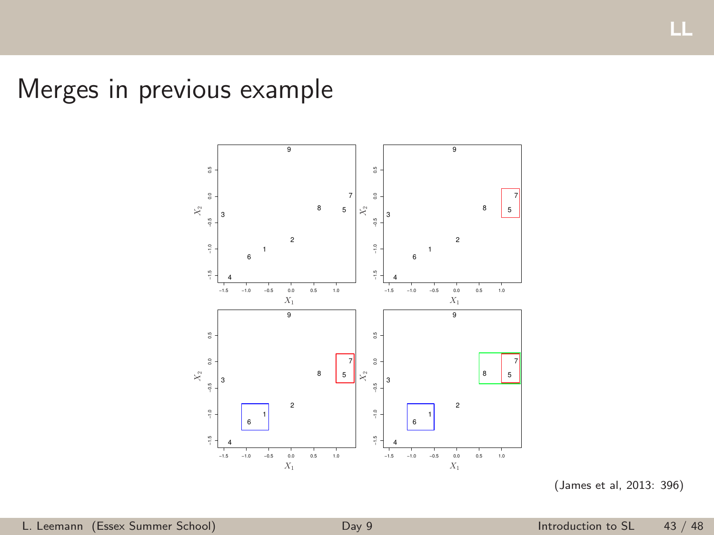Merges in previous example



<sup>(</sup>James et al, 2013: 396)

ш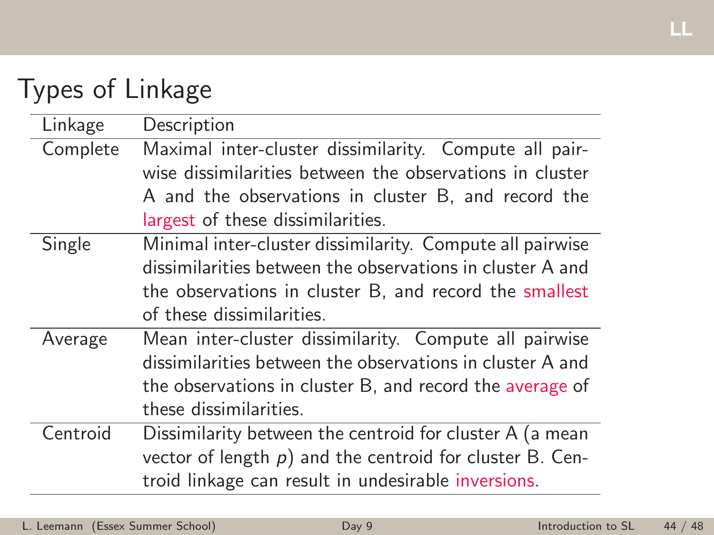# Types of Linkage

| Linkage  | Description                                                 |  |
|----------|-------------------------------------------------------------|--|
| Complete | Maximal inter-cluster dissimilarity. Compute all pair-      |  |
|          | wise dissimilarities between the observations in cluster    |  |
|          | A and the observations in cluster B, and record the         |  |
|          | largest of these dissimilarities.                           |  |
| Single   | Minimal inter-cluster dissimilarity. Compute all pairwise   |  |
|          | dissimilarities between the observations in cluster A and   |  |
|          | the observations in cluster B, and record the smallest      |  |
|          | of these dissimilarities.                                   |  |
| Average  | Mean inter-cluster dissimilarity. Compute all pairwise      |  |
|          | dissimilarities between the observations in cluster A and   |  |
|          | the observations in cluster B, and record the average of    |  |
|          | these dissimilarities.                                      |  |
| Centroid | Dissimilarity between the centroid for cluster A (a mean    |  |
|          | vector of length $p$ ) and the centroid for cluster B. Cen- |  |

troid linkage can result in undesirable inversions.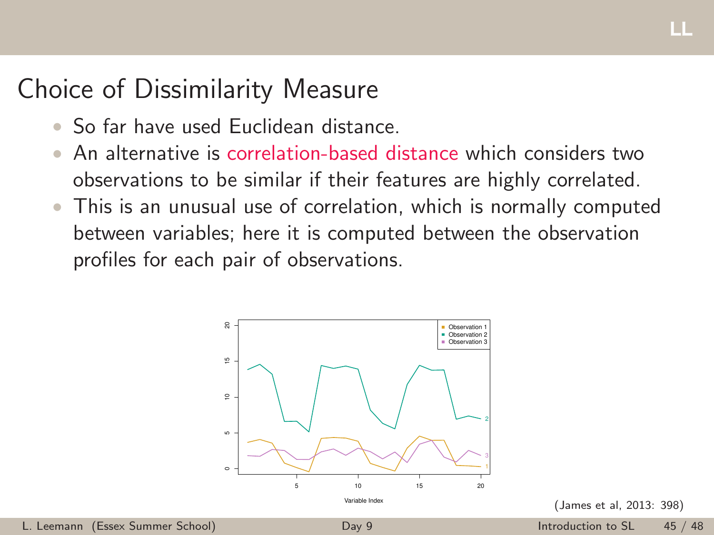# Choice of Dissimilarity Measure

- So far have used Euclidean distance
- An alternative is correlation-based distance which considers two observations to be similar if their features are highly correlated.
- This is an unusual use of correlation, which is normally computed between variables; here it is computed between the observation profiles for each pair of observations.



(James et al, 2013: 398)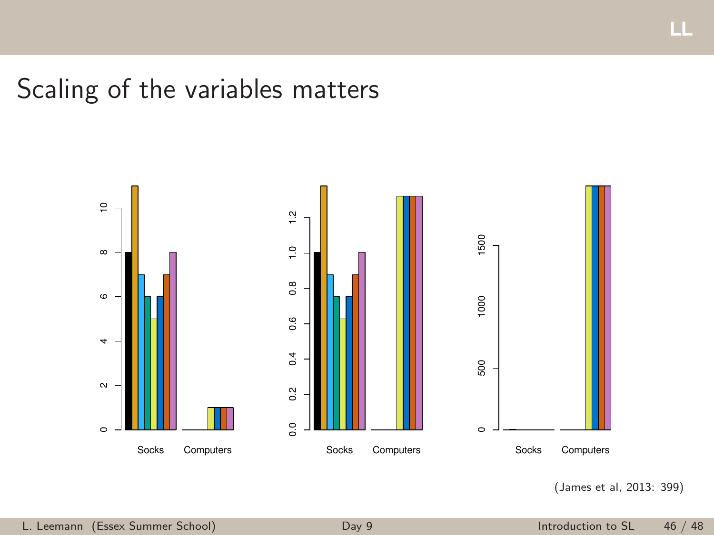# Scaling of the variables matters



(James et al, 2013: 399)

LL.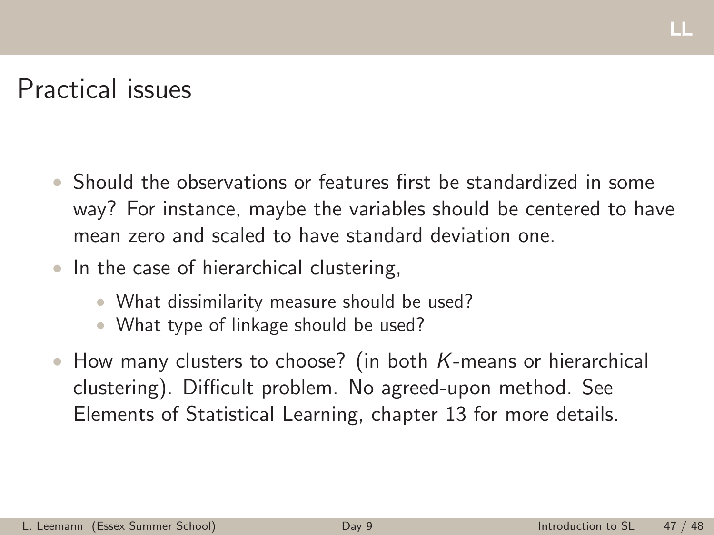## Practical issues

- Should the observations or features first be standardized in some way? For instance, maybe the variables should be centered to have mean zero and scaled to have standard deviation one.
- In the case of hierarchical clustering,
	- What dissimilarity measure should be used?
	- What type of linkage should be used?
- How many clusters to choose? (in both *K*-means or hierarchical clustering). Difficult problem. No agreed-upon method. See Elements of Statistical Learning, chapter 13 for more details.